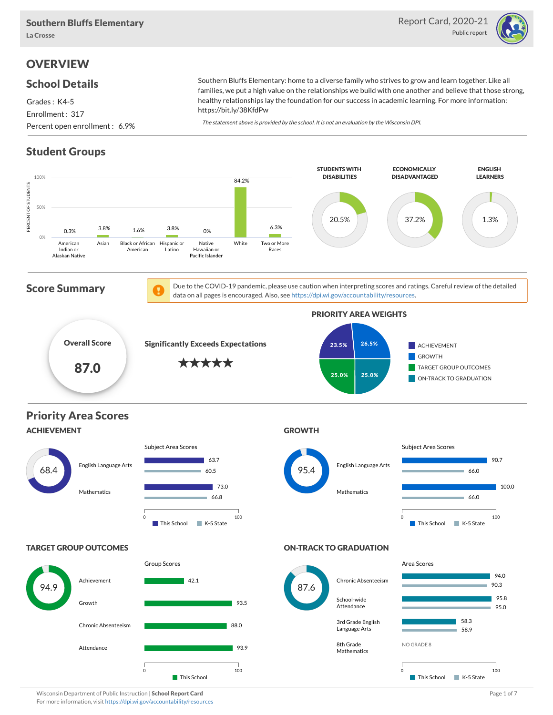

# **OVERVIEW**

#### School Details

Grades : K4-5 Enrollment : 317 Percent open enrollment : 6.9% Southern Bluffs Elementary: home to a diverse family who strives to grow and learn together. Like all families, we put a high value on the relationships we build with one another and believe that those strong, healthy relationships lay the foundation for our success in academic learning. For more information: https://bit.ly/38KfdPw

The statement above is provided by the school. It is not an evaluation by the Wisconsin DPI.

# Student Groups

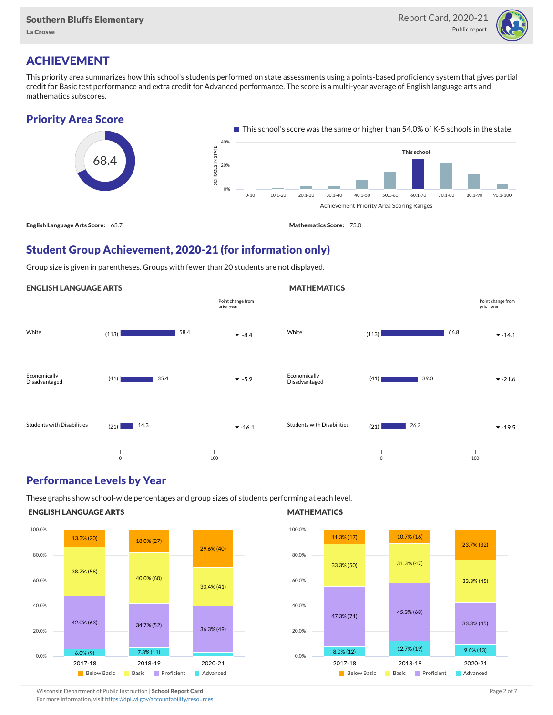La Crosse



# ACHIEVEMENT

This priority area summarizes how this school's students performed on state assessments using a points-based proficiency system that gives partial credit for Basic test performance and extra credit for Advanced performance. The score is a multi-year average of English language arts and mathematics subscores.



# Student Group Achievement, 2020-21 (for information only)

Group size is given in parentheses. Groups with fewer than 20 students are not displayed.

#### ENGLISH LANGUAGE ARTS



## Performance Levels by Year

These graphs show school-wide percentages and group sizes of students performing at each level.

#### ENGLISH LANGUAGE ARTS



#### **MATHEMATICS**

**MATHEMATICS** 



Wisconsin Department of Public Instruction | School Report Card Page 2 of 7 and 2008 and 2009 and 2 of 7 and 2 of 7

For more information, visit <https://dpi.wi.gov/accountability/resources>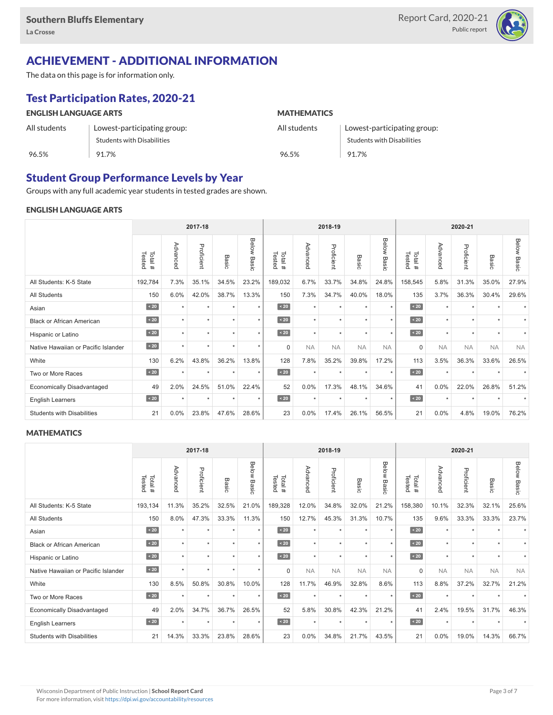

# ACHIEVEMENT - ADDITIONAL INFORMATION

The data on this page is for information only.

# Test Participation Rates, 2020-21

| <b>ENGLISH LANGUAGE ARTS</b> |                             | <b>MATHEMATICS</b> |                             |  |  |  |  |
|------------------------------|-----------------------------|--------------------|-----------------------------|--|--|--|--|
| All students                 | Lowest-participating group: | All students       | Lowest-participating group: |  |  |  |  |
|                              | Students with Disabilities  |                    | Students with Disabilities  |  |  |  |  |
| 96.5%                        | 91.7%                       | 96.5%              | 91.7%                       |  |  |  |  |

## Student Group Performance Levels by Year

Groups with any full academic year students in tested grades are shown.

#### ENGLISH LANGUAGE ARTS

|                                     | 2017-18          |          |            |         |                    |                   |           | 2018-19    |                      |                | 2020-21          |           |            |           |                    |
|-------------------------------------|------------------|----------|------------|---------|--------------------|-------------------|-----------|------------|----------------------|----------------|------------------|-----------|------------|-----------|--------------------|
|                                     | Tested<br>Total# | Advanced | Proficient | Basic   | <b>Below Basic</b> | Tested<br>Total # | Advanced  | Proficient | Basic                | Below<br>Basic | Tested<br>Total# | Advanced  | Proficient | Basic     | <b>Below Basic</b> |
| All Students: K-5 State             | 192,784          | 7.3%     | 35.1%      | 34.5%   | 23.2%              | 189,032           | 6.7%      | 33.7%      | 34.8%                | 24.8%          | 158,545          | 5.8%      | 31.3%      | 35.0%     | 27.9%              |
| All Students                        | 150              | 6.0%     | 42.0%      | 38.7%   | 13.3%              | 150               | 7.3%      | 34.7%      | 40.0%                | 18.0%          | 135              | 3.7%      | 36.3%      | 30.4%     | 29.6%              |
| Asian                               | $\sim 20$        | $\star$  | ٠          | ٠       | $\star$            | $\sim 20$         | $\star$   | $\star$    | $\star$              | $\star$        | $\sim 20$        | $\star$   | $\star$    |           |                    |
| <b>Black or African American</b>    | $\sim 20$        | ٠        | ٠          | ٠       | $\star$            | $\sim 20$         | $\star$   | $\star$    | $\ddot{\phantom{1}}$ | $\star$        | $\sim 20$        | $\star$   | ٠          | $\ddot{}$ |                    |
| Hispanic or Latino                  | $\sim 20$        | ٠        | $\star$    |         | $\star$            | $\angle 20$       | $\star$   | $\star$    |                      | $\star$        | $\angle 20$      | $\star$   | $\star$    | $\ddot{}$ |                    |
| Native Hawaiian or Pacific Islander | $\sim 20$        |          | $\star$    | ٠       | $\star$            | $\mathbf 0$       | <b>NA</b> | <b>NA</b>  | <b>NA</b>            | <b>NA</b>      | $\mathbf 0$      | <b>NA</b> | <b>NA</b>  | <b>NA</b> | <b>NA</b>          |
| White                               | 130              | 6.2%     | 43.8%      | 36.2%   | 13.8%              | 128               | 7.8%      | 35.2%      | 39.8%                | 17.2%          | 113              | 3.5%      | 36.3%      | 33.6%     | 26.5%              |
| Two or More Races                   | $\sim 20$        |          | $\star$    | $\star$ | $\star$            | $\sim 20$         | $\star$   | $\star$    |                      | $\star$        | $\sim 20$        | $\star$   | $\star$    |           |                    |
| <b>Economically Disadvantaged</b>   | 49               | 2.0%     | 24.5%      | 51.0%   | 22.4%              | 52                | 0.0%      | 17.3%      | 48.1%                | 34.6%          | 41               | 0.0%      | 22.0%      | 26.8%     | 51.2%              |
| <b>English Learners</b>             | $\leq 20$        | $\star$  | $\star$    | $\star$ | $\star$            | $\sim 20$         | $\star$   | $\star$    | $\star$              | $\star$        | $\angle 20$      | $\star$   | $\star$    | $\ddot{}$ |                    |
| <b>Students with Disabilities</b>   | 21               | $0.0\%$  | 23.8%      | 47.6%   | 28.6%              | 23                | 0.0%      | 17.4%      | 26.1%                | 56.5%          | 21               | $0.0\%$   | 4.8%       | 19.0%     | 76.2%              |

#### **MATHEMATICS**

|                                     |                  |                      | 2017-18    |         |                |                  |           | 2018-19    |                      |                |                  |           | 2020-21    |           |                    |
|-------------------------------------|------------------|----------------------|------------|---------|----------------|------------------|-----------|------------|----------------------|----------------|------------------|-----------|------------|-----------|--------------------|
|                                     | Tested<br>Total# | Advanced             | Proficient | Basic   | Below<br>Basic | Tested<br>Total# | Advanced  | Proficient | Basic                | Below<br>Basic | Tested<br>Total# | Advanced  | Proficient | Basic     | <b>Below Basic</b> |
| All Students: K-5 State             | 193,134          | 11.3%                | 35.2%      | 32.5%   | 21.0%          | 189,328          | 12.0%     | 34.8%      | 32.0%                | 21.2%          | 158,380          | 10.1%     | 32.3%      | 32.1%     | 25.6%              |
| <b>All Students</b>                 | 150              | 8.0%                 | 47.3%      | 33.3%   | 11.3%          | 150              | 12.7%     | 45.3%      | 31.3%                | 10.7%          | 135              | 9.6%      | 33.3%      | 33.3%     | 23.7%              |
| Asian                               | $\sim 20$        | $\ddot{}$            | ٠          | ٠       | $\star$        | $\overline{20}$  | $\star$   | $\star$    | $\ddot{}$            | $\star$        | $\angle 20$      | $\star$   | $\star$    |           |                    |
| <b>Black or African American</b>    | $\sim 20$        |                      | ٠          | ٠       | $\star$        | $\leq 20$        | $\star$   | $\star$    | $\ddot{}$            | $\star$        | $\angle 20$      | $\star$   | ٠          |           |                    |
| Hispanic or Latino                  | $\angle 20$      | $\star$              | $\star$    | ÷       | $\star$        | $\angle 20$      | $\star$   | $\star$    | $\star$              | $\star$        | $\angle 20$      | $\star$   | $\star$    |           |                    |
| Native Hawaiian or Pacific Islander | $\angle 20$      | $\ddot{}$            | $\star$    | $\star$ | $\star$        | $\mathbf 0$      | <b>NA</b> | <b>NA</b>  | <b>NA</b>            | <b>NA</b>      | 0                | <b>NA</b> | <b>NA</b>  | <b>NA</b> | <b>NA</b>          |
| White                               | 130              | 8.5%                 | 50.8%      | 30.8%   | 10.0%          | 128              | 11.7%     | 46.9%      | 32.8%                | 8.6%           | 113              | 8.8%      | 37.2%      | 32.7%     | 21.2%              |
| Two or More Races                   | $\sim 20$        | $\ddot{\phantom{1}}$ | $\star$    | $\star$ | $\star$        | $\sim 20$        | $\star$   | $\star$    | $\ddot{\phantom{1}}$ | $\star$        | $\sim 20$        | $\star$   | $\star$    |           |                    |
| <b>Economically Disadvantaged</b>   | 49               | 2.0%                 | 34.7%      | 36.7%   | 26.5%          | 52               | 5.8%      | 30.8%      | 42.3%                | 21.2%          | 41               | 2.4%      | 19.5%      | 31.7%     | 46.3%              |
| English Learners                    | $\leq 20$        | $\star$              | $\star$    | $\star$ | $\star$        | $\angle 20$      | $\star$   | $\star$    | $\star$              | $\star$        | $\angle 20$      | $\star$   | $\star$    | $\ddot{}$ |                    |
| <b>Students with Disabilities</b>   | 21               | 14.3%                | 33.3%      | 23.8%   | 28.6%          | 23               | 0.0%      | 34.8%      | 21.7%                | 43.5%          | 21               | 0.0%      | 19.0%      | 14.3%     | 66.7%              |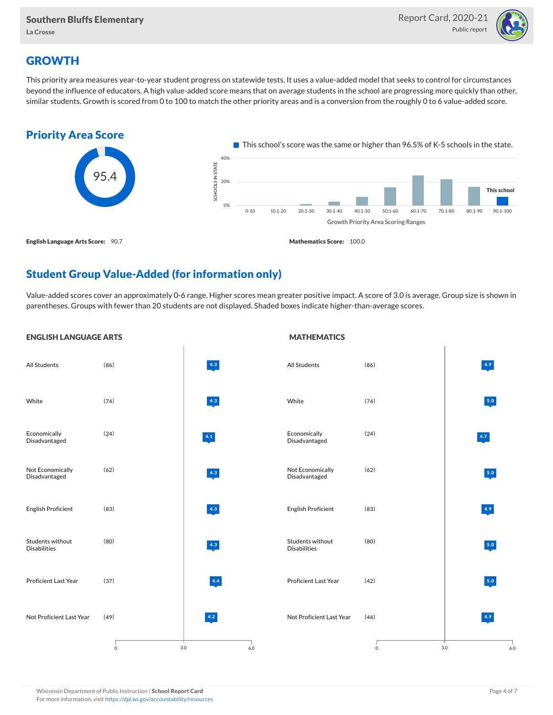

# **GROWTH**

This priority area measures year-to-year student progress on statewide tests. It uses a value-added model that seeks to control for circumstances beyond the influence of educators. A high value-added score means that on average students in the school are progressing more quickly than other, similar students. Growth is scored from 0 to 100 to match the other priority areas and is a conversion from the roughly 0 to 6 value-added score.



## Student Group Value-Added (for information only)

Value-added scores cover an approximately 0-6 range. Higher scores mean greater positive impact. A score of 3.0 is average. Group size is shown in parentheses. Groups with fewer than 20 students are not displayed. Shaded boxes indicate higher-than-average scores.

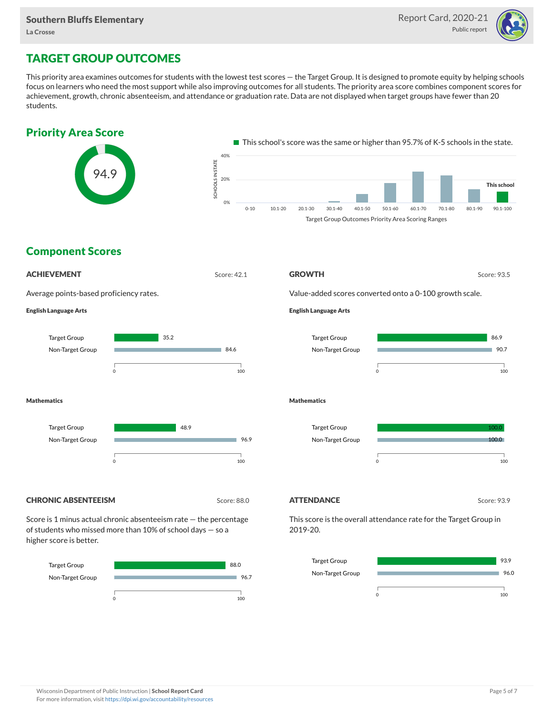

# TARGET GROUP OUTCOMES

This priority area examines outcomes for students with the lowest test scores — the Target Group. It is designed to promote equity by helping schools focus on learners who need the most support while also improving outcomes for all students. The priority area score combines component scores for achievement, growth, chronic absenteeism, and attendance or graduation rate. Data are not displayed when target groups have fewer than 20 students.





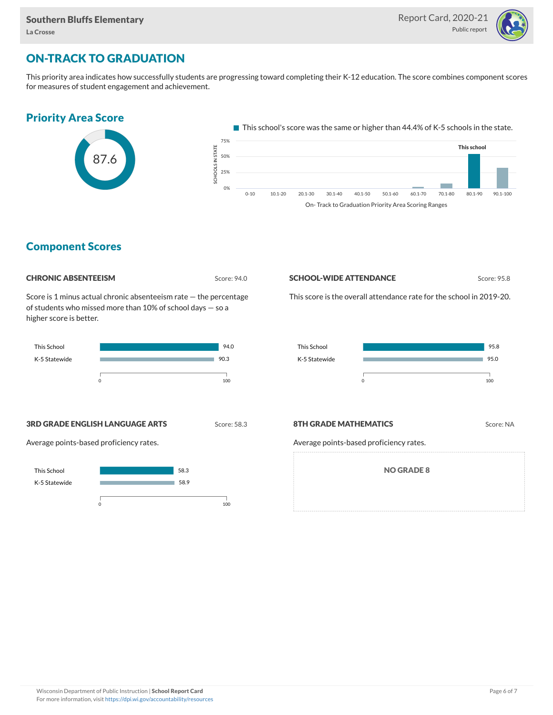

## ON-TRACK TO GRADUATION

This priority area indicates how successfully students are progressing toward completing their K-12 education. The score combines component scores for measures of student engagement and achievement.

#### Priority Area Score



This school's score was the same or higher than 44.4% of K-5 schools in the state.



## Component Scores

| <b>CHRONIC ABSENTEEISM</b> |
|----------------------------|
|                            |

Score: 94.0

Score is 1 minus actual chronic absenteeism rate — the percentage of students who missed more than 10% of school days — so a higher score is better.



#### **SCHOOL-WIDE ATTENDANCE** Score: 95.8

This score is the overall attendance rate for the school in 2019-20.



**3RD GRADE ENGLISH LANGUAGE ARTS** Score: 58.3

Average points-based proficiency rates.



#### **8TH GRADE MATHEMATICS** Score: NA

Average points-based proficiency rates.

NO GRADE 8